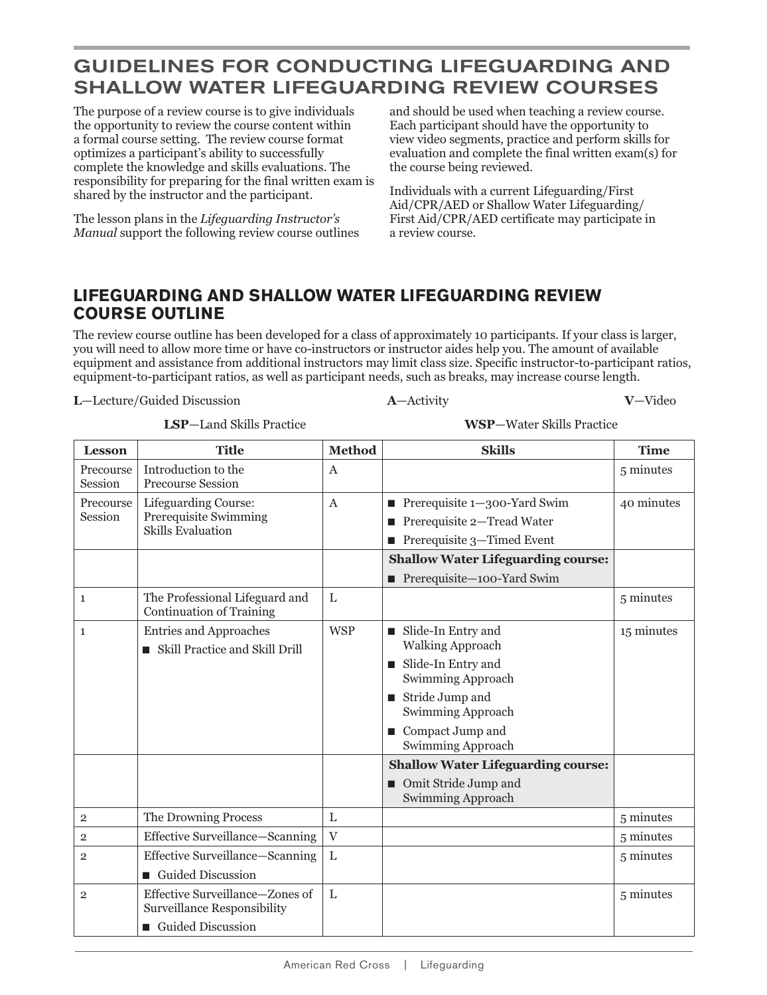## **GUIDELINES FOR CONDUCTING LIFEGUARDING AND SHALLOW WATER LIFEGUARDING REVIEW COURSES**

The purpose of a review course is to give individuals the opportunity to review the course content within a formal course setting. The review course format optimizes a participant's ability to successfully complete the knowledge and skills evaluations. The responsibility for preparing for the final written exam is shared by the instructor and the participant.

The lesson plans in the *Lifeguarding Instructor's Manual* support the following review course outlines

and should be used when teaching a review course. Each participant should have the opportunity to view video segments, practice and perform skills for evaluation and complete the final written exam(s) for the course being reviewed.

Individuals with a current Lifeguarding/First Aid/CPR/AED or Shallow Water Lifeguarding/ First Aid/CPR/AED certificate may participate in a review course.

## **LIFEGUARDING AND SHALLOW WATER LIFEGUARDING REVIEW COURSE OUTLINE**

The review course outline has been developed for a class of approximately 10 participants. If your class is larger, you will need to allow more time or have co-instructors or instructor aides help you. The amount of available equipment and assistance from additional instructors may limit class size. Specific instructor-to-participant ratios, equipment-to-participant ratios, as well as participant needs, such as breaks, may increase course length.

**L**—Lecture/Guided Discussion **A**—Activity **V**—Video

 **LSP**—Land Skills Practice **WSP**—Water Skills Practice

Lesson Title Method Skills **Skills** Time Precourse Session Introduction to the Precourse Session A 5 minutes Precourse Session Lifeguarding Course: Prerequisite Swimming Skills Evaluation A **Prerequisite 1—300-Yard Swim** ■ Prerequisite 2—Tread Water ■ Prerequisite 3—Timed Event 40 minutes **Shallow Water Lifeguarding course:**  ■ Prerequisite-100-Yard Swim 1 The Professional Lifeguard and Continuation of Training L 5 minutes 1 Entries and Approaches ■ Skill Practice and Skill Drill WSP  $\|\cdot\|$  Slide-In Entry and Walking Approach ■ Slide-In Entry and Swimming Approach ■ Stride Jump and Swimming Approach ■ Compact Jump and Swimming Approach 15 minutes **Shallow Water Lifeguarding course:**  ■ Omit Stride Jump and Swimming Approach 2 The Drowning Process L 5 minutes 2 Effective Surveillance—Scanning V 5 minutes 2 Effective Surveillance—Scanning ■ Guided Discussion L 5 minutes 2 Effective Surveillance—Zones of Surveillance Responsibility ■ Guided Discussion L 5 minutes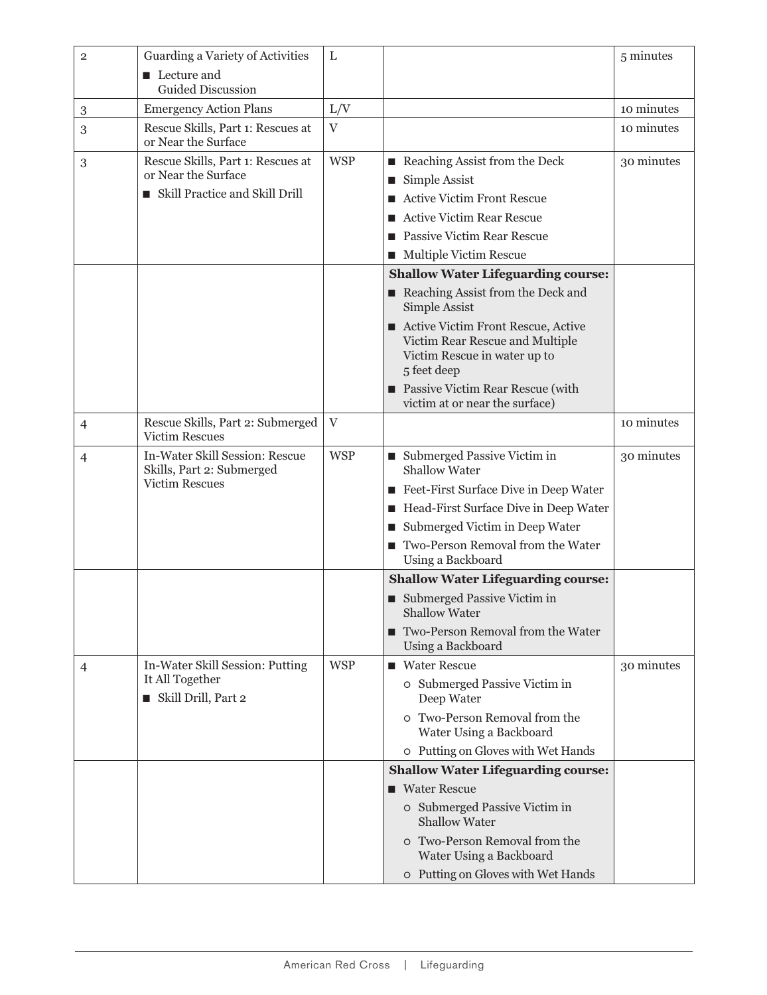| $\overline{2}$ | Guarding a Variety of Activities                                                           | L          |                                                                                                                                                                                                                                                                                                        | 5 minutes  |
|----------------|--------------------------------------------------------------------------------------------|------------|--------------------------------------------------------------------------------------------------------------------------------------------------------------------------------------------------------------------------------------------------------------------------------------------------------|------------|
|                | $\blacksquare$ Lecture and<br><b>Guided Discussion</b>                                     |            |                                                                                                                                                                                                                                                                                                        |            |
| $\,3$          | <b>Emergency Action Plans</b>                                                              | L/V        |                                                                                                                                                                                                                                                                                                        | 10 minutes |
| 3              | Rescue Skills, Part 1: Rescues at<br>or Near the Surface                                   | V          |                                                                                                                                                                                                                                                                                                        | 10 minutes |
| $\mathbf{3}$   | Rescue Skills, Part 1: Rescues at<br>or Near the Surface<br>Skill Practice and Skill Drill | <b>WSP</b> | Reaching Assist from the Deck<br>$\blacksquare$ Simple Assist<br>■ Active Victim Front Rescue<br>■ Active Victim Rear Rescue<br>■ Passive Victim Rear Rescue<br>Multiple Victim Rescue                                                                                                                 | 30 minutes |
|                |                                                                                            |            | <b>Shallow Water Lifeguarding course:</b><br>Reaching Assist from the Deck and<br>Simple Assist<br>■ Active Victim Front Rescue, Active<br>Victim Rear Rescue and Multiple<br>Victim Rescue in water up to<br>5 feet deep<br><b>Passive Victim Rear Rescue (with</b><br>victim at or near the surface) |            |
| $\overline{4}$ | Rescue Skills, Part 2: Submerged<br><b>Victim Rescues</b>                                  | $\rm V$    |                                                                                                                                                                                                                                                                                                        | 10 minutes |
| $\overline{4}$ | In-Water Skill Session: Rescue<br>Skills, Part 2: Submerged<br><b>Victim Rescues</b>       | <b>WSP</b> | ■ Submerged Passive Victim in<br><b>Shallow Water</b><br>Feet-First Surface Dive in Deep Water<br>Head-First Surface Dive in Deep Water<br>Submerged Victim in Deep Water<br>Two-Person Removal from the Water<br>Using a Backboard                                                                    | 30 minutes |
|                |                                                                                            |            | <b>Shallow Water Lifeguarding course:</b><br>■ Submerged Passive Victim in<br><b>Shallow Water</b><br>Two-Person Removal from the Water<br>Using a Backboard                                                                                                                                           |            |
| $\overline{4}$ | In-Water Skill Session: Putting<br>It All Together<br>Skill Drill, Part 2                  | <b>WSP</b> | ■ Water Rescue<br>o Submerged Passive Victim in<br>Deep Water<br>o Two-Person Removal from the<br>Water Using a Backboard<br>o Putting on Gloves with Wet Hands                                                                                                                                        | 30 minutes |
|                |                                                                                            |            | <b>Shallow Water Lifeguarding course:</b><br>■ Water Rescue<br>o Submerged Passive Victim in<br><b>Shallow Water</b><br>o Two-Person Removal from the<br>Water Using a Backboard<br>o Putting on Gloves with Wet Hands                                                                                 |            |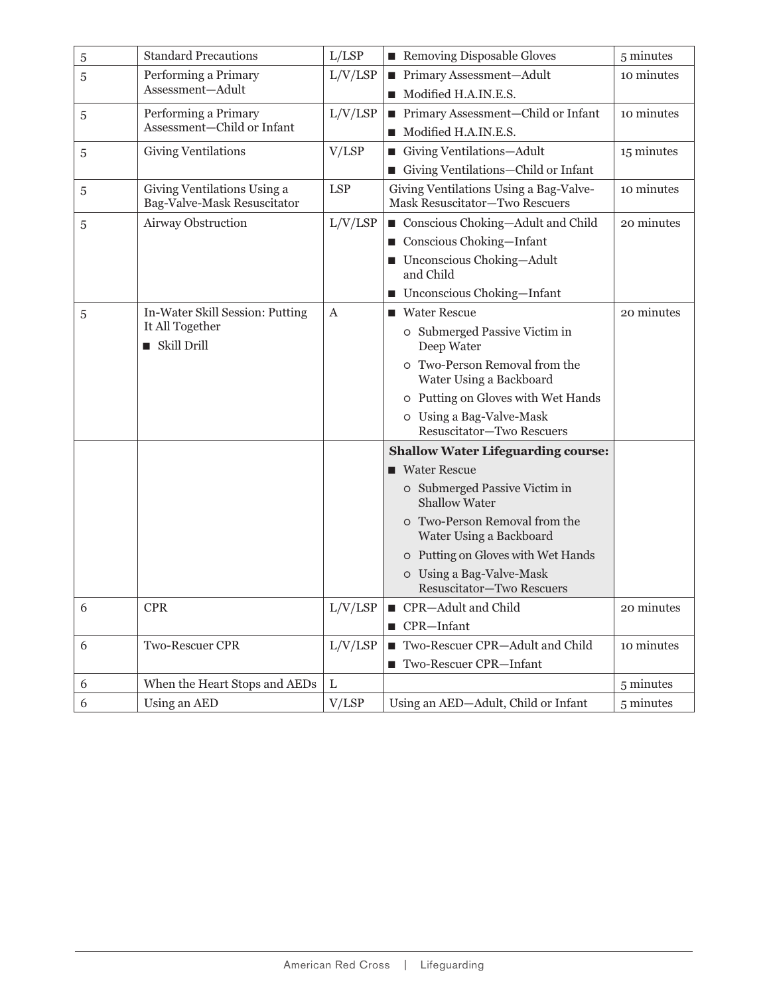| 5 | <b>Standard Precautions</b>                                | L/ LSP     | Removing Disposable Gloves                                               | 5 minutes  |
|---|------------------------------------------------------------|------------|--------------------------------------------------------------------------|------------|
| 5 | Performing a Primary                                       | L/V/LSP    | ■ Primary Assessment-Adult                                               | 10 minutes |
|   | Assessment-Adult                                           |            | Modified H.A.IN.E.S.                                                     |            |
| 5 | Performing a Primary                                       | L/V/ LSP   | ■ Primary Assessment-Child or Infant                                     | 10 minutes |
|   | Assessment-Child or Infant                                 |            | Modified H.A.IN.E.S.                                                     |            |
| 5 | <b>Giving Ventilations</b>                                 | V/ LSP     | Giving Ventilations-Adult                                                | 15 minutes |
|   |                                                            |            | Giving Ventilations-Child or Infant                                      |            |
| 5 | Giving Ventilations Using a<br>Bag-Valve-Mask Resuscitator | <b>LSP</b> | Giving Ventilations Using a Bag-Valve-<br>Mask Resuscitator-Two Rescuers | 10 minutes |
| 5 | Airway Obstruction                                         | L/V/ LSP   | Conscious Choking-Adult and Child                                        | 20 minutes |
|   |                                                            |            | Conscious Choking-Infant                                                 |            |
|   |                                                            |            | ■ Unconscious Choking-Adult<br>and Child                                 |            |
|   |                                                            |            | ■ Unconscious Choking-Infant                                             |            |
| 5 | In-Water Skill Session: Putting                            | A          | ■ Water Rescue                                                           | 20 minutes |
|   | It All Together<br>■ Skill Drill                           |            | o Submerged Passive Victim in<br>Deep Water                              |            |
|   |                                                            |            | o Two-Person Removal from the<br>Water Using a Backboard                 |            |
|   |                                                            |            | o Putting on Gloves with Wet Hands                                       |            |
|   |                                                            |            | o Using a Bag-Valve-Mask<br>Resuscitator-Two Rescuers                    |            |
|   |                                                            |            | <b>Shallow Water Lifeguarding course:</b>                                |            |
|   |                                                            |            | ■ Water Rescue                                                           |            |
|   |                                                            |            | o Submerged Passive Victim in<br><b>Shallow Water</b>                    |            |
|   |                                                            |            | o Two-Person Removal from the<br>Water Using a Backboard                 |            |
|   |                                                            |            | o Putting on Gloves with Wet Hands                                       |            |
|   |                                                            |            | o Using a Bag-Valve-Mask<br>Resuscitator-Two Rescuers                    |            |
| 6 | <b>CPR</b>                                                 | L/V/ LSP   | ■ CPR-Adult and Child                                                    | 20 minutes |
|   |                                                            |            | $\blacksquare$ CPR-Infant                                                |            |
| 6 | Two-Rescuer CPR                                            | L/V/ LSP   | Two-Rescuer CPR-Adult and Child                                          | 10 minutes |
|   |                                                            |            | Two-Rescuer CPR-Infant                                                   |            |
| 6 | When the Heart Stops and AEDs                              | L          |                                                                          | 5 minutes  |
| 6 | Using an AED                                               | V/LSP      | Using an AED-Adult, Child or Infant                                      | 5 minutes  |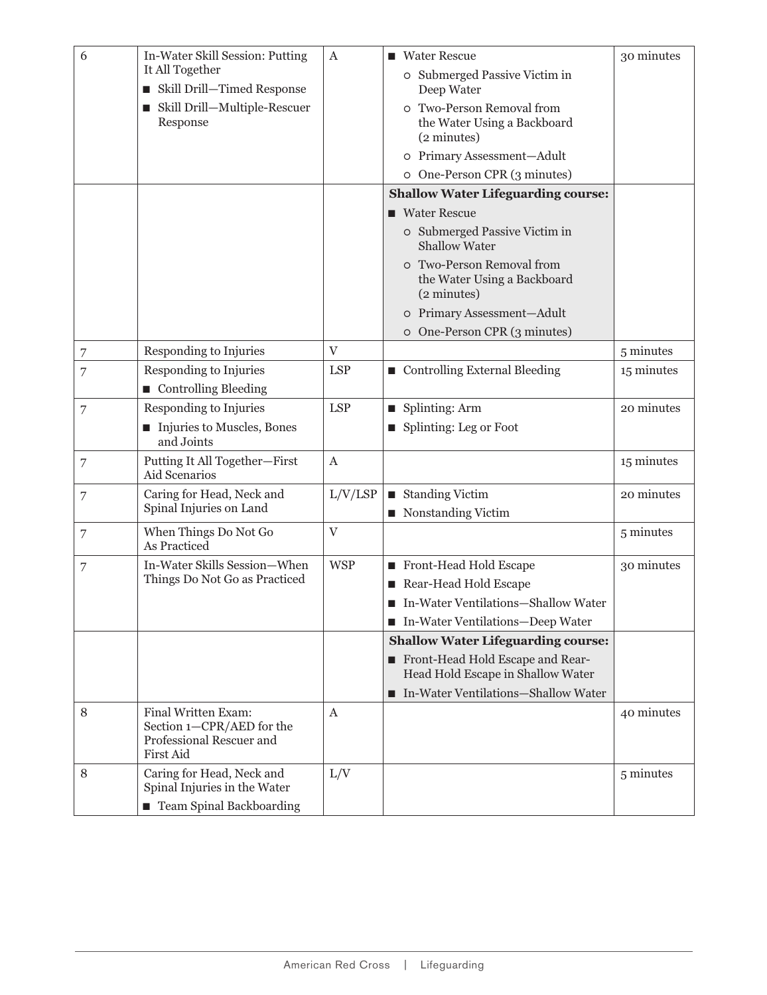| 6              | In-Water Skill Session: Putting                           | $\boldsymbol{A}$          | ■ Water Rescue                                                          | 30 minutes |
|----------------|-----------------------------------------------------------|---------------------------|-------------------------------------------------------------------------|------------|
|                | It All Together                                           |                           | o Submerged Passive Victim in                                           |            |
|                | Skill Drill-Timed Response                                |                           | Deep Water                                                              |            |
|                | Skill Drill-Multiple-Rescuer                              |                           | o Two-Person Removal from                                               |            |
|                | Response                                                  |                           | the Water Using a Backboard<br>(2 minutes)                              |            |
|                |                                                           |                           | o Primary Assessment-Adult                                              |            |
|                |                                                           |                           | o One-Person CPR (3 minutes)                                            |            |
|                |                                                           |                           | <b>Shallow Water Lifeguarding course:</b>                               |            |
|                |                                                           |                           | ■ Water Rescue                                                          |            |
|                |                                                           |                           | o Submerged Passive Victim in                                           |            |
|                |                                                           |                           | <b>Shallow Water</b>                                                    |            |
|                |                                                           |                           | o Two-Person Removal from<br>the Water Using a Backboard<br>(2 minutes) |            |
|                |                                                           |                           | o Primary Assessment-Adult                                              |            |
|                |                                                           |                           | o One-Person CPR (3 minutes)                                            |            |
| $\overline{7}$ | Responding to Injuries                                    | V                         |                                                                         | 5 minutes  |
| 7              | Responding to Injuries                                    | <b>LSP</b>                | Controlling External Bleeding                                           | 15 minutes |
|                | Controlling Bleeding                                      |                           |                                                                         |            |
| $\overline{7}$ | Responding to Injuries                                    | <b>LSP</b>                | $\blacksquare$ Splinting: Arm                                           | 20 minutes |
|                | Injuries to Muscles, Bones<br>and Joints                  |                           | ■ Splinting: Leg or Foot                                                |            |
| 7              | Putting It All Together-First<br>Aid Scenarios            | $\mathbf{A}$              |                                                                         | 15 minutes |
| $\overline{7}$ | Caring for Head, Neck and<br>Spinal Injuries on Land      | L/V/LSP                   | ■ Standing Victim                                                       | 20 minutes |
|                |                                                           |                           | Nonstanding Victim                                                      |            |
| $\overline{7}$ | When Things Do Not Go<br>As Practiced                     | $\ensuremath{\mathbf{V}}$ |                                                                         | 5 minutes  |
| 7              | In-Water Skills Session-When                              | <b>WSP</b>                | Front-Head Hold Escape                                                  | 30 minutes |
|                | Things Do Not Go as Practiced                             |                           | Rear-Head Hold Escape                                                   |            |
|                |                                                           |                           | In-Water Ventilations-Shallow Water                                     |            |
|                |                                                           |                           | In-Water Ventilations-Deep Water                                        |            |
|                |                                                           |                           | <b>Shallow Water Lifeguarding course:</b>                               |            |
|                |                                                           |                           | Front-Head Hold Escape and Rear-<br>Head Hold Escape in Shallow Water   |            |
|                |                                                           |                           | ■ In-Water Ventilations-Shallow Water                                   |            |
| $\,8\,$        | Final Written Exam:<br>Section 1-CPR/AED for the          | A                         |                                                                         | 40 minutes |
|                | Professional Rescuer and<br>First Aid                     |                           |                                                                         |            |
| $\,8\,$        | Caring for Head, Neck and<br>Spinal Injuries in the Water | L/V                       |                                                                         | 5 minutes  |
|                | ■ Team Spinal Backboarding                                |                           |                                                                         |            |